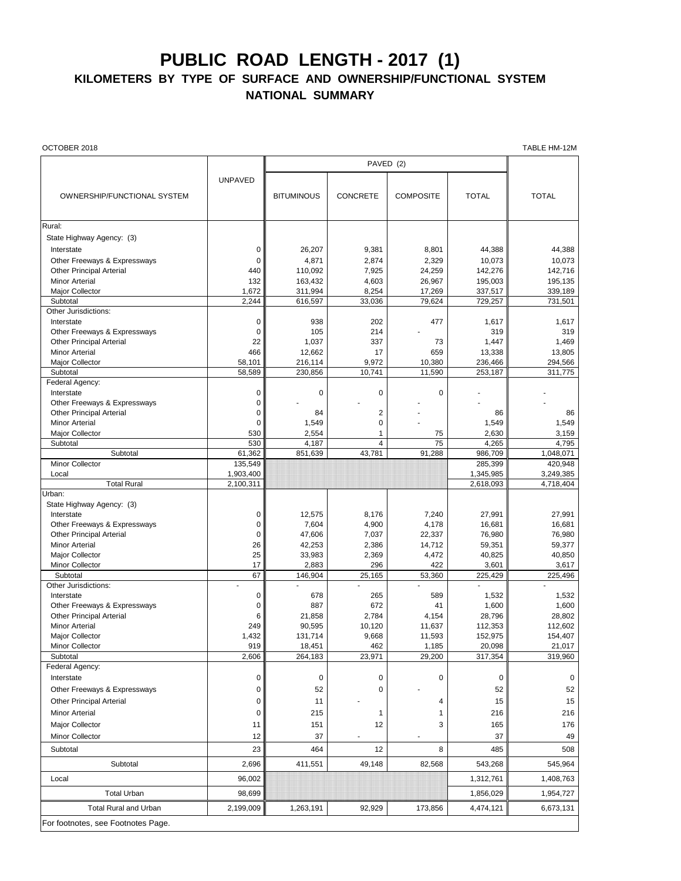## **PUBLIC ROAD LENGTH - 2017 (1)**

## **KILOMETERS BY TYPE OF SURFACE AND OWNERSHIP/FUNCTIONAL SYSTEM NATIONAL SUMMARY**

OCTOBER 2018 TABLE HM-12M

|                                                                 |                | PAVED (2)         |                 |                  |                 |                 |
|-----------------------------------------------------------------|----------------|-------------------|-----------------|------------------|-----------------|-----------------|
|                                                                 | <b>UNPAVED</b> |                   |                 |                  |                 |                 |
|                                                                 |                |                   |                 |                  |                 |                 |
| OWNERSHIP/FUNCTIONAL SYSTEM                                     |                | <b>BITUMINOUS</b> | <b>CONCRETE</b> | <b>COMPOSITE</b> | <b>TOTAL</b>    | <b>TOTAL</b>    |
|                                                                 |                |                   |                 |                  |                 |                 |
| Rural:                                                          |                |                   |                 |                  |                 |                 |
| State Highway Agency: (3)                                       |                |                   |                 |                  |                 |                 |
| Interstate                                                      | 0              | 26,207            | 9,381           | 8,801            | 44,388          | 44,388          |
| Other Freeways & Expressways                                    | 0              | 4,871             | 2,874           | 2,329            | 10,073          | 10,073          |
| <b>Other Principal Arterial</b>                                 | 440            | 110,092           | 7,925           | 24,259           | 142,276         | 142,716         |
| <b>Minor Arterial</b>                                           | 132            | 163,432           | 4,603           | 26,967           | 195,003         | 195,135         |
| Major Collector                                                 | 1,672          | 311,994           | 8,254           | 17,269           | 337,517         | 339,189         |
| Subtotal                                                        | 2,244          | 616,597           | 33,036          | 79,624           | 729,257         | 731,501         |
| Other Jurisdictions:                                            |                |                   |                 |                  |                 |                 |
| Interstate                                                      | 0              | 938               | 202             | 477              | 1,617           | 1,617           |
| Other Freeways & Expressways                                    | $\mathbf 0$    | 105               | 214             |                  | 319             | 319             |
| <b>Other Principal Arterial</b>                                 | 22             | 1,037             | 337             | 73               | 1,447           | 1,469           |
| <b>Minor Arterial</b>                                           | 466            | 12,662            | 17              | 659              | 13,338          | 13,805          |
| Major Collector                                                 | 58,101         | 216,114           | 9,972           | 10,380           | 236,466         | 294,566         |
| Subtotal                                                        | 58,589         | 230,856           | 10,741          | 11,590           | 253,187         | 311,775         |
| Federal Agency:                                                 |                |                   |                 | $\mathbf 0$      |                 |                 |
| Interstate                                                      | $\mathbf 0$    | 0                 | $\mathbf 0$     |                  |                 |                 |
| Other Freeways & Expressways<br><b>Other Principal Arterial</b> | 0<br>0         | 84                | $\overline{2}$  |                  | 86              | 86              |
| <b>Minor Arterial</b>                                           | 0              | 1,549             | $\mathsf 0$     |                  | 1,549           | 1,549           |
| Major Collector                                                 | 530            | 2,554             | 1               | 75               | 2,630           | 3,159           |
| Subtotal                                                        | 530            | 4,187             | 4               | 75               | 4,265           | 4,795           |
| Subtotal                                                        | 61,362         | 851,639           | 43,781          | 91,288           | 986,709         | 1,048,071       |
| Minor Collector                                                 | 135,549        |                   |                 |                  | 285,399         | 420,948         |
| Local                                                           | 1,903,400      |                   |                 |                  | 1,345,985       | 3,249,385       |
| <b>Total Rural</b>                                              | 2,100,311      |                   |                 |                  | 2,618,093       | 4,718,404       |
| Urban:                                                          |                |                   |                 |                  |                 |                 |
| State Highway Agency: (3)                                       |                |                   |                 |                  |                 |                 |
| Interstate                                                      | 0              | 12,575            | 8,176           | 7,240            | 27,991          | 27,991          |
| Other Freeways & Expressways                                    | $\mathbf 0$    | 7,604             | 4,900           | 4,178            | 16,681          | 16,681          |
| <b>Other Principal Arterial</b>                                 | 0              | 47,606            | 7,037           | 22,337           | 76,980          | 76,980          |
| <b>Minor Arterial</b>                                           | 26             | 42,253            | 2,386           | 14,712           | 59,351          | 59,377          |
| <b>Major Collector</b><br>Minor Collector                       | 25<br>17       | 33,983<br>2,883   | 2,369<br>296    | 4,472<br>422     | 40,825<br>3,601 | 40,850<br>3,617 |
| Subtotal                                                        | 67             | 146,904           | 25,165          | 53,360           | 225,429         | 225,496         |
| Other Jurisdictions:                                            |                |                   |                 |                  |                 |                 |
| Interstate                                                      | 0              | 678               | 265             | 589              | 1,532           | 1,532           |
| Other Freeways & Expressways                                    | 0              | 887               | 672             | 41               | 1,600           | 1,600           |
| <b>Other Principal Arterial</b>                                 | 6              | 21,858            | 2,784           | 4,154            | 28,796          | 28,802          |
| <b>Minor Arterial</b>                                           | 249            | 90,595            | 10,120          | 11,637           | 112,353         | 112,602         |
| <b>Major Collector</b>                                          | 1,432          | 131,714           | 9,668           | 11,593           | 152,975         | 154,407         |
| <b>Minor Collector</b>                                          | 919            | 18,451            | 462             | 1,185            | 20,098          | 21,017          |
| Subtotal                                                        | 2,606          | 264,183           | 23,971          | 29,200           | 317,354         | 319,960         |
| Federal Agency:                                                 |                |                   |                 |                  |                 |                 |
| Interstate                                                      | 0              | 0                 | 0               | 0                | 0               | $\mathbf 0$     |
| Other Freeways & Expressways                                    | 0              | 52                | 0               |                  | 52              | 52              |
| <b>Other Principal Arterial</b>                                 | 0              | 11                |                 | 4                | 15              | 15              |
| <b>Minor Arterial</b>                                           | 0              | 215               | 1               | 1                | 216             | 216             |
| Major Collector                                                 | 11             | 151               | 12              | 3                | 165             | 176             |
| Minor Collector                                                 | 12             | 37                |                 |                  | 37              | 49              |
| Subtotal                                                        | 23             | 464               | 12              | 8                | 485             | 508             |
|                                                                 |                |                   |                 |                  |                 |                 |
| Subtotal                                                        | 2,696          | 411,551           | 49,148          | 82,568           | 543,268         | 545,964         |
| Local                                                           | 96,002         |                   |                 |                  | 1,312,761       | 1,408,763       |
| <b>Total Urban</b>                                              | 98,699         |                   |                 |                  | 1,856,029       | 1,954,727       |
| <b>Total Rural and Urban</b>                                    | 2,199,009      | 1,263,191         | 92,929          | 173,856          | 4,474,121       | 6,673,131       |
| For footnotes, see Footnotes Page.                              |                |                   |                 |                  |                 |                 |